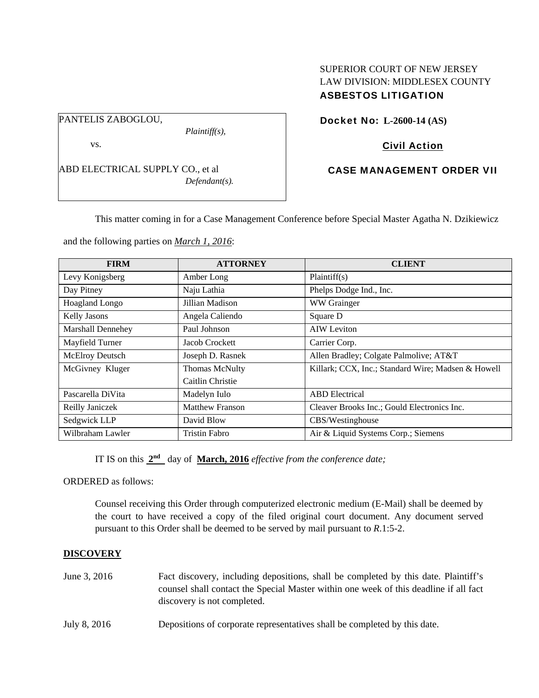### PANTELIS ZABOGLOU,

*Plaintiff(s),* 

vs.

ABD ELECTRICAL SUPPLY CO., et al *Defendant(s).* 

# SUPERIOR COURT OF NEW JERSEY LAW DIVISION: MIDDLESEX COUNTY ASBESTOS LITIGATION

Docket No: **L-2600-14 (AS)** 

# Civil Action

## CASE MANAGEMENT ORDER VII

This matter coming in for a Case Management Conference before Special Master Agatha N. Dzikiewicz

and the following parties on *March 1, 2016*:

| <b>FIRM</b>            | <b>ATTORNEY</b>        | <b>CLIENT</b>                                      |
|------------------------|------------------------|----------------------------------------------------|
| Levy Konigsberg        | Amber Long             | Plaintiff(s)                                       |
| Day Pitney             | Naju Lathia            | Phelps Dodge Ind., Inc.                            |
| <b>Hoagland Longo</b>  | Jillian Madison        | <b>WW</b> Grainger                                 |
| <b>Kelly Jasons</b>    | Angela Caliendo        | Square D                                           |
| Marshall Dennehey      | Paul Johnson           | <b>AIW</b> Leviton                                 |
| Mayfield Turner        | Jacob Crockett         | Carrier Corp.                                      |
| <b>McElroy Deutsch</b> | Joseph D. Rasnek       | Allen Bradley; Colgate Palmolive; AT&T             |
| McGivney Kluger        | <b>Thomas McNulty</b>  | Killark; CCX, Inc.; Standard Wire; Madsen & Howell |
|                        | Caitlin Christie       |                                                    |
| Pascarella DiVita      | Madelyn Iulo           | <b>ABD</b> Electrical                              |
| Reilly Janiczek        | <b>Matthew Franson</b> | Cleaver Brooks Inc.; Gould Electronics Inc.        |
| Sedgwick LLP           | David Blow             | CBS/Westinghouse                                   |
| Wilbraham Lawler       | Tristin Fabro          | Air & Liquid Systems Corp.; Siemens                |

IT IS on this **2nd** day of **March, 2016** *effective from the conference date;*

ORDERED as follows:

Counsel receiving this Order through computerized electronic medium (E-Mail) shall be deemed by the court to have received a copy of the filed original court document. Any document served pursuant to this Order shall be deemed to be served by mail pursuant to *R*.1:5-2.

## **DISCOVERY**

- June 3, 2016 Fact discovery, including depositions, shall be completed by this date. Plaintiff's counsel shall contact the Special Master within one week of this deadline if all fact discovery is not completed.
- July 8, 2016 Depositions of corporate representatives shall be completed by this date.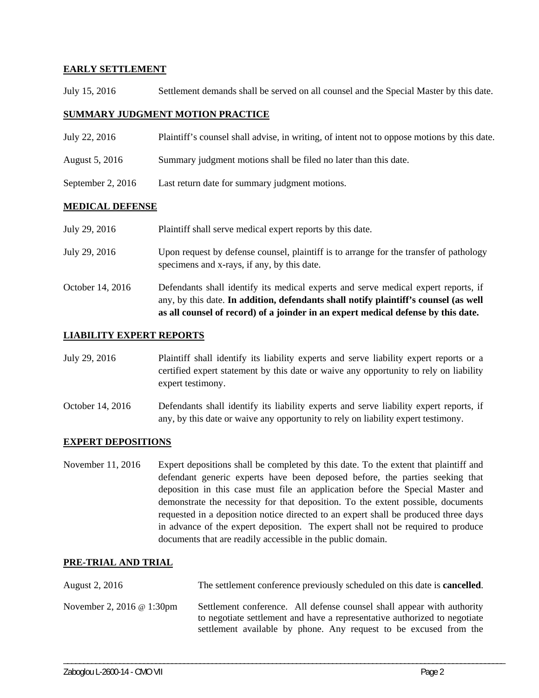## **EARLY SETTLEMENT**

July 15, 2016 Settlement demands shall be served on all counsel and the Special Master by this date.

## **SUMMARY JUDGMENT MOTION PRACTICE**

- July 22, 2016 Plaintiff's counsel shall advise, in writing, of intent not to oppose motions by this date.
- August 5, 2016 Summary judgment motions shall be filed no later than this date.
- September 2, 2016 Last return date for summary judgment motions.

### **MEDICAL DEFENSE**

- July 29, 2016 Plaintiff shall serve medical expert reports by this date.
- July 29, 2016 Upon request by defense counsel, plaintiff is to arrange for the transfer of pathology specimens and x-rays, if any, by this date.
- October 14, 2016 Defendants shall identify its medical experts and serve medical expert reports, if any, by this date. **In addition, defendants shall notify plaintiff's counsel (as well as all counsel of record) of a joinder in an expert medical defense by this date.**

### **LIABILITY EXPERT REPORTS**

- July 29, 2016 Plaintiff shall identify its liability experts and serve liability expert reports or a certified expert statement by this date or waive any opportunity to rely on liability expert testimony.
- October 14, 2016 Defendants shall identify its liability experts and serve liability expert reports, if any, by this date or waive any opportunity to rely on liability expert testimony.

### **EXPERT DEPOSITIONS**

November 11, 2016 Expert depositions shall be completed by this date. To the extent that plaintiff and defendant generic experts have been deposed before, the parties seeking that deposition in this case must file an application before the Special Master and demonstrate the necessity for that deposition. To the extent possible, documents requested in a deposition notice directed to an expert shall be produced three days in advance of the expert deposition. The expert shall not be required to produce documents that are readily accessible in the public domain.

### **PRE-TRIAL AND TRIAL**

| August 2, 2016                   | The settlement conference previously scheduled on this date is <b>cancelled</b> .                                                                                                                                        |
|----------------------------------|--------------------------------------------------------------------------------------------------------------------------------------------------------------------------------------------------------------------------|
| November 2, 2016 $\omega$ 1:30pm | Settlement conference. All defense counsel shall appear with authority<br>to negotiate settlement and have a representative authorized to negotiate<br>settlement available by phone. Any request to be excused from the |

\_\_\_\_\_\_\_\_\_\_\_\_\_\_\_\_\_\_\_\_\_\_\_\_\_\_\_\_\_\_\_\_\_\_\_\_\_\_\_\_\_\_\_\_\_\_\_\_\_\_\_\_\_\_\_\_\_\_\_\_\_\_\_\_\_\_\_\_\_\_\_\_\_\_\_\_\_\_\_\_\_\_\_\_\_\_\_\_\_\_\_\_\_\_\_\_\_\_\_\_\_\_\_\_\_\_\_\_\_\_